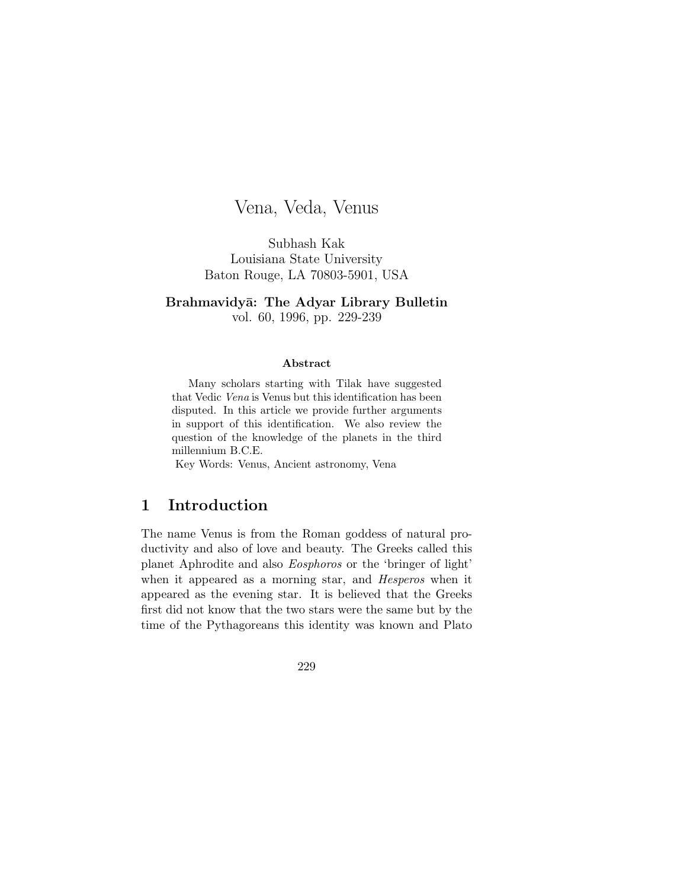# Vena, Veda, Venus

Subhash Kak Louisiana State University Baton Rouge, LA 70803-5901, USA

Brahmavidyā: The Adyar Library Bulletin vol. 60, 1996, pp. 229-239

#### **Abstract**

Many scholars starting with Tilak have suggested that Vedic Vena is Venus but this identification has been disputed. In this article we provide further arguments in support of this identification. We also review the question of the knowledge of the planets in the third millennium B.C.E.

Key Words: Venus, Ancient astronomy, Vena

#### **1 Introduction**

The name Venus is from the Roman goddess of natural productivity and also of love and beauty. The Greeks called this planet Aphrodite and also Eosphoros or the 'bringer of light' when it appeared as a morning star, and *Hesperos* when it appeared as the evening star. It is believed that the Greeks first did not know that the two stars were the same but by the time of the Pythagoreans this identity was known and Plato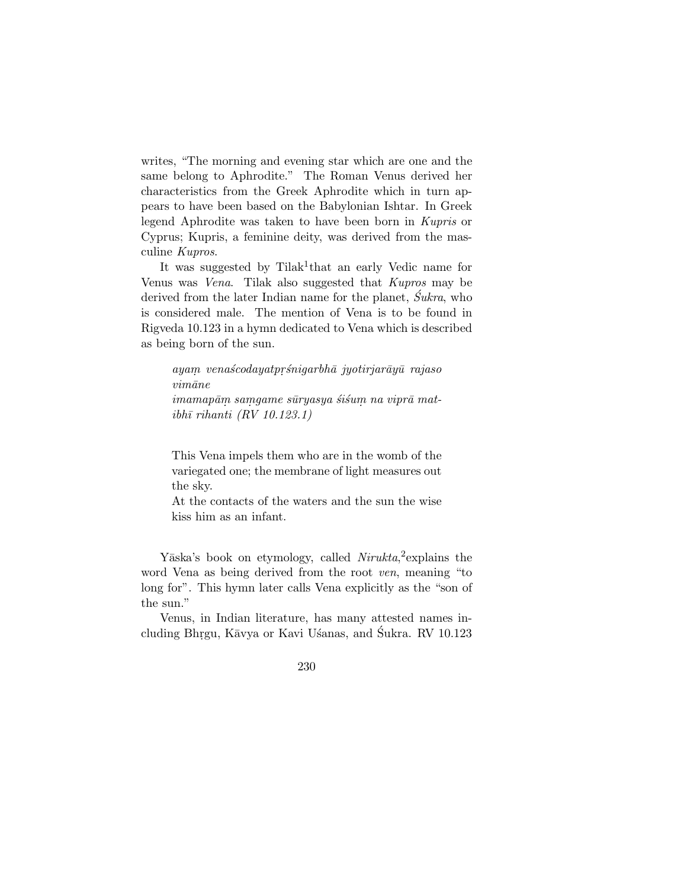writes, "The morning and evening star which are one and the same belong to Aphrodite." The Roman Venus derived her characteristics from the Greek Aphrodite which in turn appears to have been based on the Babylonian Ishtar. In Greek legend Aphrodite was taken to have been born in Kupris or Cyprus; Kupris, a feminine deity, was derived from the masculine Kupros.

It was suggested by Tilak<sup>1</sup>that an early Vedic name for Venus was Vena. Tilak also suggested that Kupros may be derived from the later Indian name for the planet,  $\acute{S}ukra$ , who is considered male. The mention of Vena is to be found in Rigveda 10.123 in a hymn dedicated to Vena which is described as being born of the sun.

ayam venaścodayatprśnigarbhā jyotirjarāyū rajaso  $vim\bar{a}ne$ imamapām samgame sūryasya śiśum na viprā mat $i\bar{b}h\bar{i}$  rihanti (RV 10.123.1)

This Vena impels them who are in the womb of the variegated one; the membrane of light measures out the sky.

At the contacts of the waters and the sun the wise kiss him as an infant.

Yāska's book on etymology, called Nirukta,<sup>2</sup> explains the word Vena as being derived from the root ven, meaning "to long for". This hymn later calls Vena explicitly as the "son of the sun."

Venus, in Indian literature, has many attested names including Bhrgu, Kāvya or Kavi Usanas, and Śukra. RV 10.123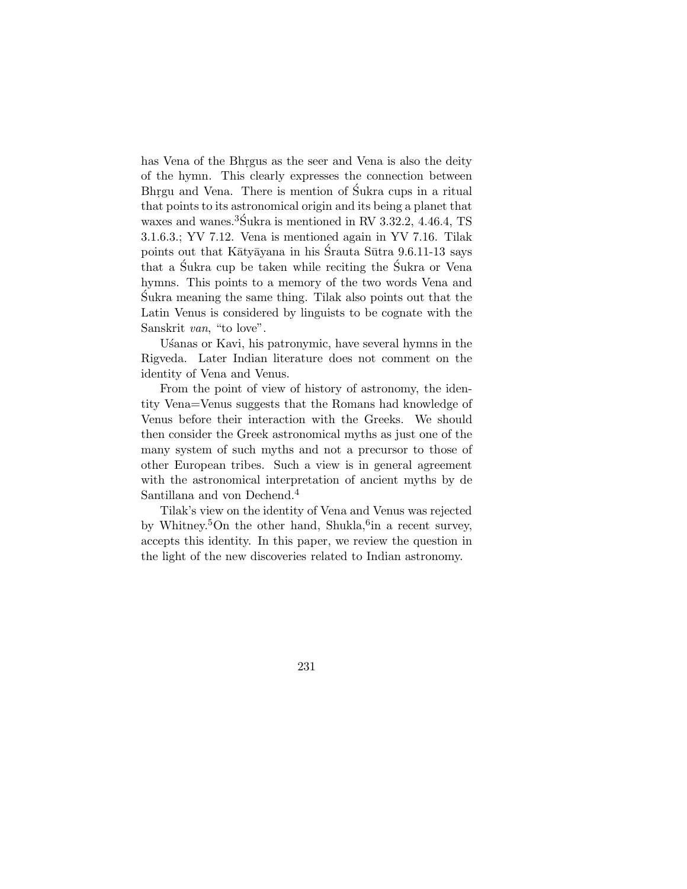has Vena of the Bhrgus as the seer and Vena is also the deity of the hymn. This clearly expresses the connection between Bhrgu and Vena. There is mention of Sukra cups in a ritual that points to its astronomical origin and its being a planet that waxes and wanes.<sup>3</sup> $\text{\r{S}ukra}$  is mentioned in RV 3.32.2, 4.46.4, TS 3.1.6.3.; YV 7.12. Vena is mentioned again in YV 7.16. Tilak points out that Kātyāyana in his Śrauta Sūtra 9.6.11-13 says that a Sukra cup be taken while reciting the Sukra or Vena hymns. This points to a memory of the two words Vena and Sukra meaning the same thing. Tilak also points out that the ´ Latin Venus is considered by linguists to be cognate with the Sanskrit van, "to love".

Usanas or Kavi, his patronymic, have several hymns in the Rigveda. Later Indian literature does not comment on the identity of Vena and Venus.

From the point of view of history of astronomy, the identity Vena=Venus suggests that the Romans had knowledge of Venus before their interaction with the Greeks. We should then consider the Greek astronomical myths as just one of the many system of such myths and not a precursor to those of other European tribes. Such a view is in general agreement with the astronomical interpretation of ancient myths by de Santillana and von Dechend.<sup>4</sup>

Tilak's view on the identity of Vena and Venus was rejected by Whitney.<sup>5</sup>On the other hand, Shukla,  $6$ in a recent survey, accepts this identity. In this paper, we review the question in the light of the new discoveries related to Indian astronomy.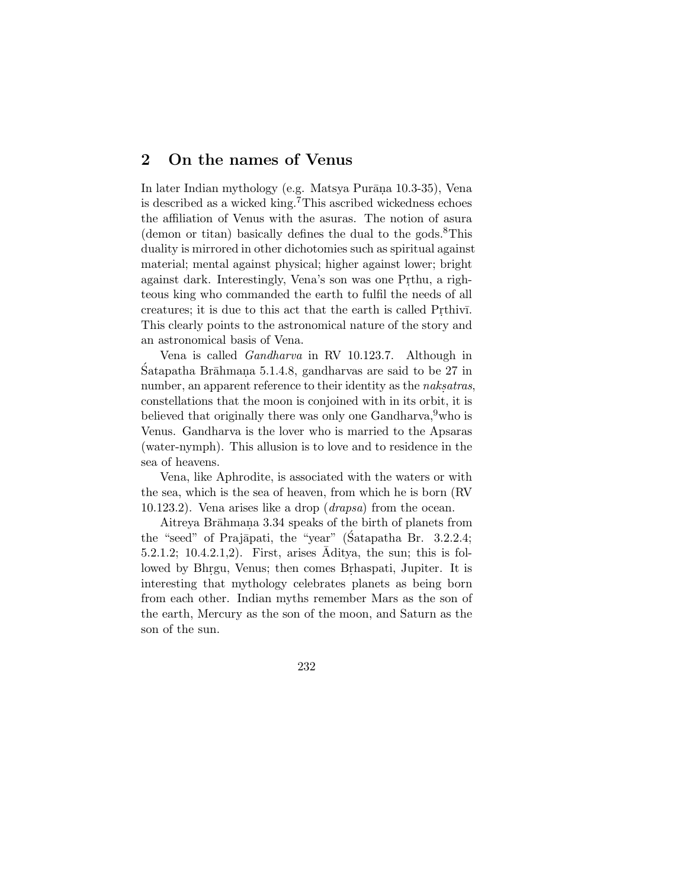#### **2 On the names of Venus**

In later Indian mythology (e.g. Matsya Purāna 10.3-35), Vena is described as a wicked king.<sup>7</sup>This ascribed wickedness echoes the affiliation of Venus with the asuras. The notion of asura (demon or titan) basically defines the dual to the gods. $8$ This duality is mirrored in other dichotomies such as spiritual against material; mental against physical; higher against lower; bright against dark. Interestingly, Vena's son was one Prthu, a righteous king who commanded the earth to fulfil the needs of all creatures; it is due to this act that the earth is called Prthiv<sub>I</sub>. This clearly points to the astronomical nature of the story and an astronomical basis of Vena.

Vena is called Gandharva in RV 10.123.7. Although in  $S$ atapatha Brāhmana 5.1.4.8, gandharvas are said to be 27 in number, an apparent reference to their identity as the *naksatras*, constellations that the moon is conjoined with in its orbit, it is believed that originally there was only one Gandharva,  $9$  who is Venus. Gandharva is the lover who is married to the Apsaras (water-nymph). This allusion is to love and to residence in the sea of heavens.

Vena, like Aphrodite, is associated with the waters or with the sea, which is the sea of heaven, from which he is born (RV 10.123.2). Vena arises like a drop (drapsa) from the ocean.

Aitreya Brāhmana 3.34 speaks of the birth of planets from the "seed" of Prajāpati, the "year" (Satapatha Br. 3.2.2.4;  $5.2.1.2$ ;  $10.4.2.1.2$ ). First, arises Aditya, the sun; this is followed by Bhrgu, Venus; then comes Brhaspati, Jupiter. It is interesting that mythology celebrates planets as being born from each other. Indian myths remember Mars as the son of the earth, Mercury as the son of the moon, and Saturn as the son of the sun.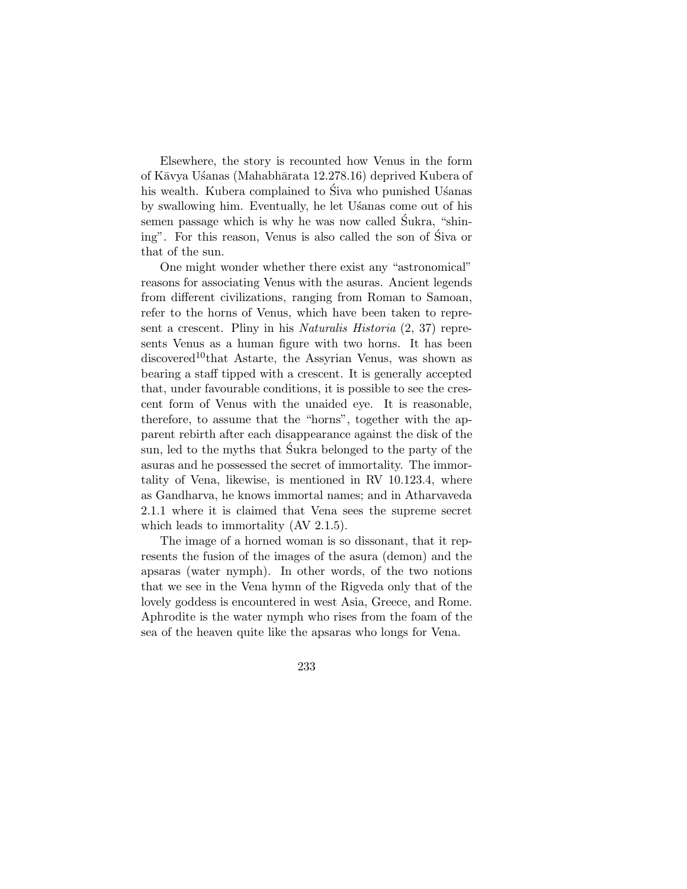Elsewhere, the story is recounted how Venus in the form of Kāvya Usanas (Mahabhārata 12.278.16) deprived Kubera of his wealth. Kubera complained to Siva who punished Usanas by swallowing him. Eventually, he let Usanas come out of his semen passage which is why he was now called Sukra, "shining". For this reason, Venus is also called the son of Siva or that of the sun.

One might wonder whether there exist any "astronomical" reasons for associating Venus with the asuras. Ancient legends from different civilizations, ranging from Roman to Samoan, refer to the horns of Venus, which have been taken to represent a crescent. Pliny in his Naturalis Historia (2, 37) represents Venus as a human figure with two horns. It has been discovered<sup>10</sup>that Astarte, the Assyrian Venus, was shown as bearing a staff tipped with a crescent. It is generally accepted that, under favourable conditions, it is possible to see the crescent form of Venus with the unaided eye. It is reasonable, therefore, to assume that the "horns", together with the apparent rebirth after each disappearance against the disk of the sun, led to the myths that Sukra belonged to the party of the asuras and he possessed the secret of immortality. The immortality of Vena, likewise, is mentioned in RV 10.123.4, where as Gandharva, he knows immortal names; and in Atharvaveda 2.1.1 where it is claimed that Vena sees the supreme secret which leads to immortality  $(AV 2.1.5)$ .

The image of a horned woman is so dissonant, that it represents the fusion of the images of the asura (demon) and the apsaras (water nymph). In other words, of the two notions that we see in the Vena hymn of the Rigveda only that of the lovely goddess is encountered in west Asia, Greece, and Rome. Aphrodite is the water nymph who rises from the foam of the sea of the heaven quite like the apsaras who longs for Vena.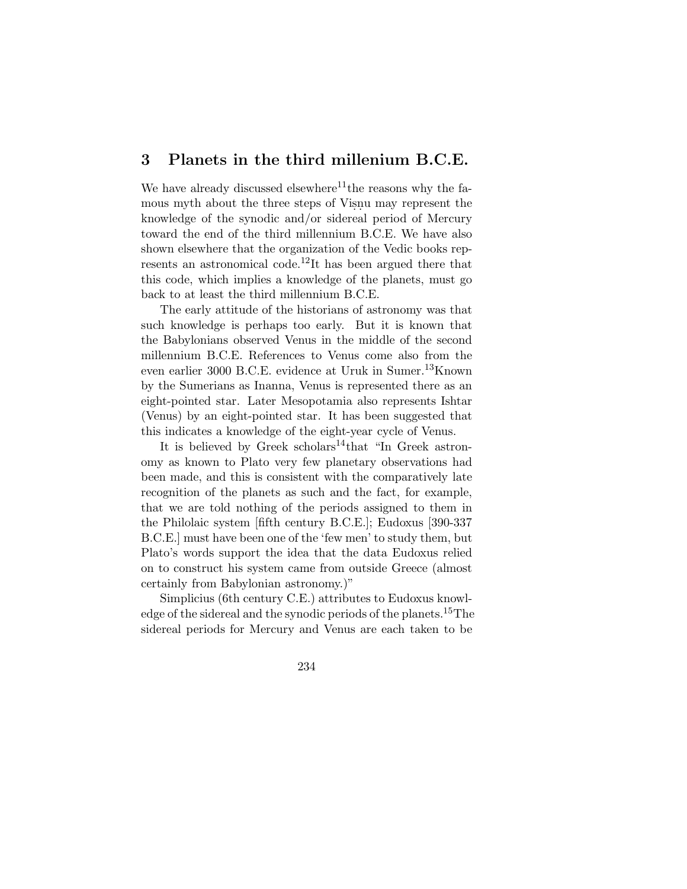### **3 Planets in the third millenium B.C.E.**

We have already discussed elsewhere<sup>11</sup>the reasons why the famous myth about the three steps of Visnu may represent the knowledge of the synodic and/or sidereal period of Mercury toward the end of the third millennium B.C.E. We have also shown elsewhere that the organization of the Vedic books represents an astronomical code.<sup>12</sup>It has been argued there that this code, which implies a knowledge of the planets, must go back to at least the third millennium B.C.E.

The early attitude of the historians of astronomy was that such knowledge is perhaps too early. But it is known that the Babylonians observed Venus in the middle of the second millennium B.C.E. References to Venus come also from the even earlier 3000 B.C.E. evidence at Uruk in Sumer.13Known by the Sumerians as Inanna, Venus is represented there as an eight-pointed star. Later Mesopotamia also represents Ishtar (Venus) by an eight-pointed star. It has been suggested that this indicates a knowledge of the eight-year cycle of Venus.

It is believed by Greek scholars<sup>14</sup>that "In Greek astronomy as known to Plato very few planetary observations had been made, and this is consistent with the comparatively late recognition of the planets as such and the fact, for example, that we are told nothing of the periods assigned to them in the Philolaic system [fifth century B.C.E.]; Eudoxus [390-337 B.C.E.] must have been one of the 'few men' to study them, but Plato's words support the idea that the data Eudoxus relied on to construct his system came from outside Greece (almost certainly from Babylonian astronomy.)"

Simplicius (6th century C.E.) attributes to Eudoxus knowledge of the sidereal and the synodic periods of the planets.15The sidereal periods for Mercury and Venus are each taken to be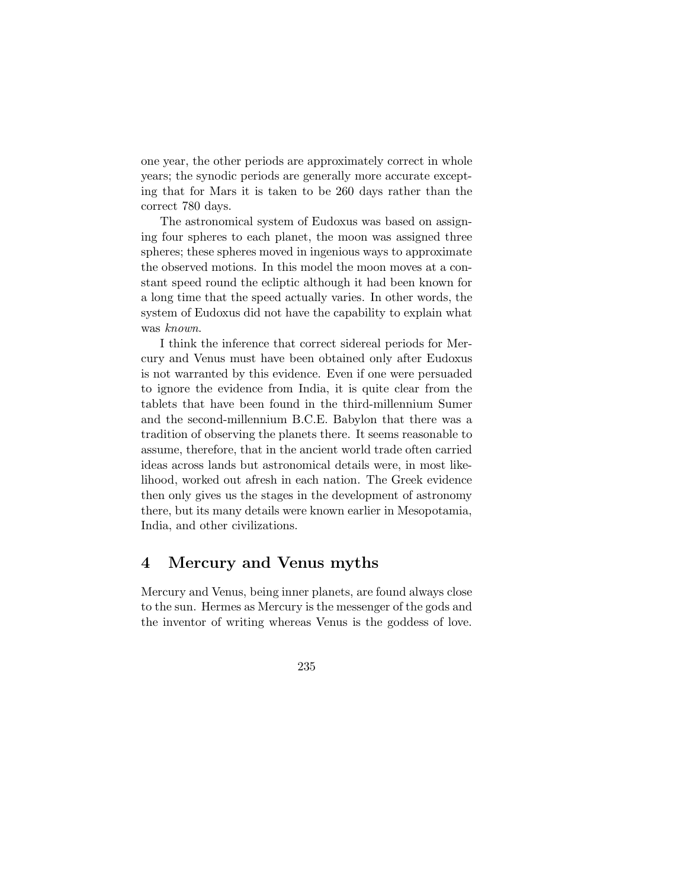one year, the other periods are approximately correct in whole years; the synodic periods are generally more accurate excepting that for Mars it is taken to be 260 days rather than the correct 780 days.

The astronomical system of Eudoxus was based on assigning four spheres to each planet, the moon was assigned three spheres; these spheres moved in ingenious ways to approximate the observed motions. In this model the moon moves at a constant speed round the ecliptic although it had been known for a long time that the speed actually varies. In other words, the system of Eudoxus did not have the capability to explain what was known.

I think the inference that correct sidereal periods for Mercury and Venus must have been obtained only after Eudoxus is not warranted by this evidence. Even if one were persuaded to ignore the evidence from India, it is quite clear from the tablets that have been found in the third-millennium Sumer and the second-millennium B.C.E. Babylon that there was a tradition of observing the planets there. It seems reasonable to assume, therefore, that in the ancient world trade often carried ideas across lands but astronomical details were, in most likelihood, worked out afresh in each nation. The Greek evidence then only gives us the stages in the development of astronomy there, but its many details were known earlier in Mesopotamia, India, and other civilizations.

#### **4 Mercury and Venus myths**

Mercury and Venus, being inner planets, are found always close to the sun. Hermes as Mercury is the messenger of the gods and the inventor of writing whereas Venus is the goddess of love.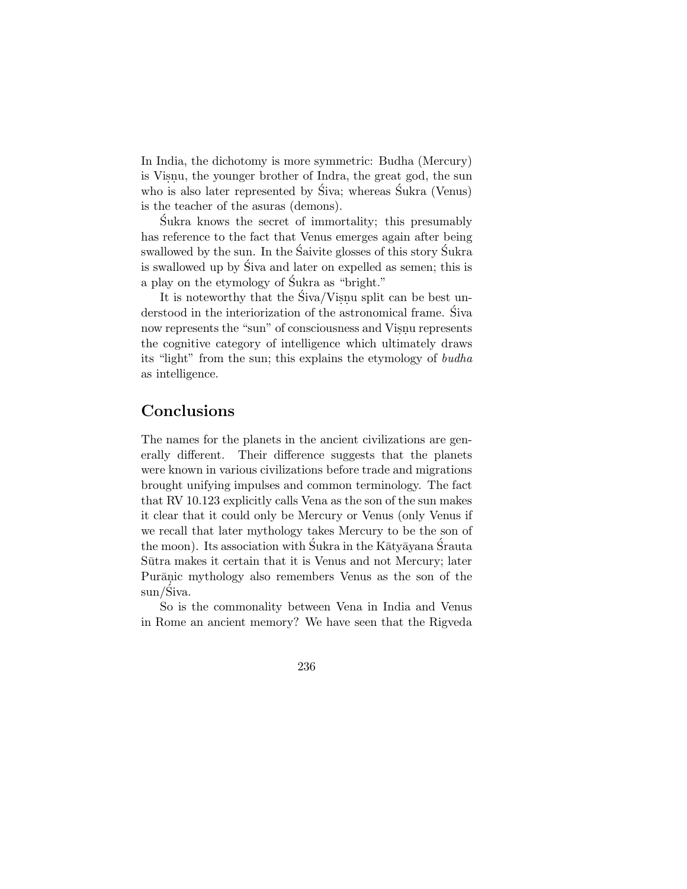In India, the dichotomy is more symmetric: Budha (Mercury) is Visnu, the younger brother of Indra, the great god, the sun who is also later represented by  $\hat{S}$ iva; whereas  $\hat{S}$ ukra (Venus) is the teacher of the asuras (demons).

Sukra knows the secret of immortality; this presumably ´ has reference to the fact that Venus emerges again after being swallowed by the sun. In the Saivite glosses of this story Sukra is swallowed up by Siva and later on expelled as semen; this is a play on the etymology of Sukra as "bright."

It is noteworthy that the  $\text{Siva/Visnu}$  split can be best understood in the interiorization of the astronomical frame. Siva ´ now represents the "sun" of consciousness and Visnu represents the cognitive category of intelligence which ultimately draws its "light" from the sun; this explains the etymology of budha as intelligence.

## **Conclusions**

The names for the planets in the ancient civilizations are generally different. Their difference suggests that the planets were known in various civilizations before trade and migrations brought unifying impulses and common terminology. The fact that RV 10.123 explicitly calls Vena as the son of the sun makes it clear that it could only be Mercury or Venus (only Venus if we recall that later mythology takes Mercury to be the son of the moon). Its association with Sukra in the K $\bar{a}$ ty $\bar{a}$ yana Srauta Sūtra makes it certain that it is Venus and not Mercury; later Purānic mythology also remembers Venus as the son of the sun/Śiva.

So is the commonality between Vena in India and Venus in Rome an ancient memory? We have seen that the Rigveda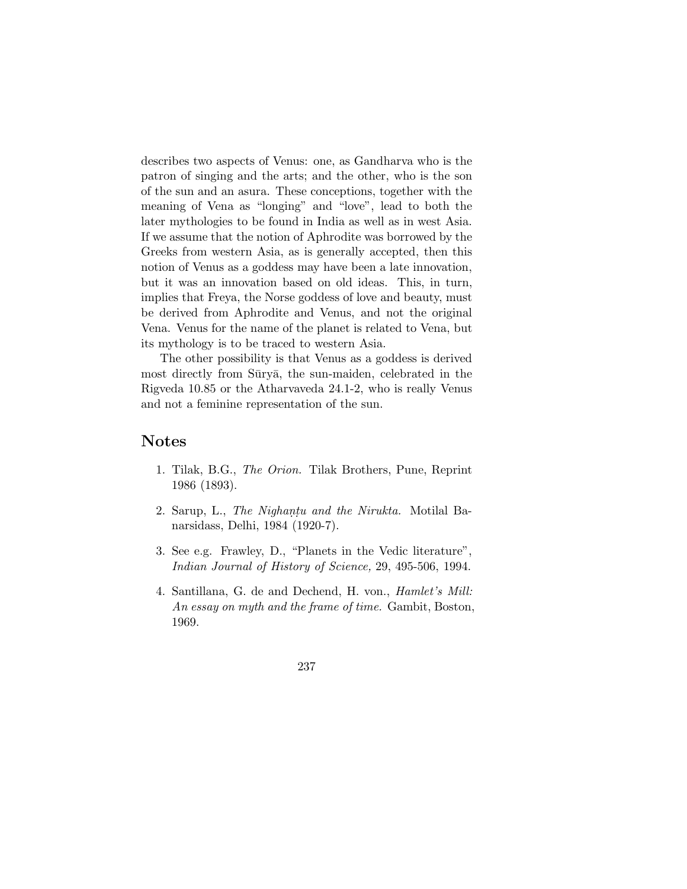describes two aspects of Venus: one, as Gandharva who is the patron of singing and the arts; and the other, who is the son of the sun and an asura. These conceptions, together with the meaning of Vena as "longing" and "love", lead to both the later mythologies to be found in India as well as in west Asia. If we assume that the notion of Aphrodite was borrowed by the Greeks from western Asia, as is generally accepted, then this notion of Venus as a goddess may have been a late innovation, but it was an innovation based on old ideas. This, in turn, implies that Freya, the Norse goddess of love and beauty, must be derived from Aphrodite and Venus, and not the original Vena. Venus for the name of the planet is related to Vena, but its mythology is to be traced to western Asia.

The other possibility is that Venus as a goddess is derived most directly from Sūryā, the sun-maiden, celebrated in the Rigveda 10.85 or the Atharvaveda 24.1-2, who is really Venus and not a feminine representation of the sun.

#### **Notes**

- 1. Tilak, B.G., The Orion. Tilak Brothers, Pune, Reprint 1986 (1893).
- 2. Sarup, L., The Nighantu and the Nirukta. Motilal Banarsidass, Delhi, 1984 (1920-7).
- 3. See e.g. Frawley, D., "Planets in the Vedic literature", Indian Journal of History of Science, 29, 495-506, 1994.
- 4. Santillana, G. de and Dechend, H. von., Hamlet's Mill: An essay on myth and the frame of time. Gambit, Boston, 1969.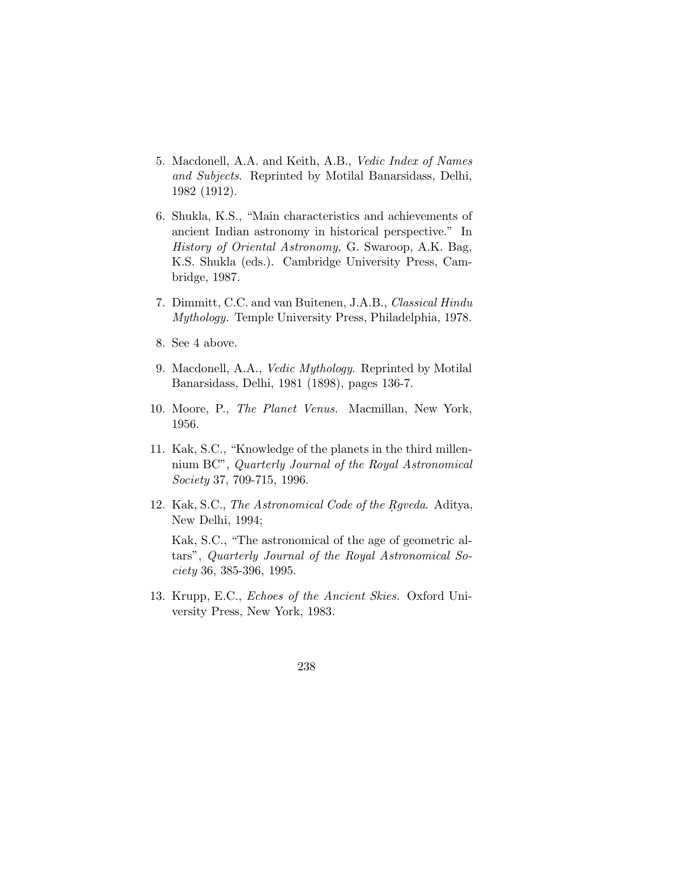- 5. Macdonell, A.A. and Keith, A.B., Vedic Index of Names and Subjects. Reprinted by Motilal Banarsidass, Delhi, 1982 (1912).
- 6. Shukla, K.S., "Main characteristics and achievements of ancient Indian astronomy in historical perspective." In History of Oriental Astronomy, G. Swaroop, A.K. Bag, K.S. Shukla (eds.). Cambridge University Press, Cambridge, 1987.
- 7. Dimmitt, C.C. and van Buitenen, J.A.B., Classical Hindu Mythology. Temple University Press, Philadelphia, 1978.
- 8. See 4 above.
- 9. Macdonell, A.A., Vedic Mythology. Reprinted by Motilal Banarsidass, Delhi, 1981 (1898), pages 136-7.
- 10. Moore, P., The Planet Venus. Macmillan, New York, 1956.
- 11. Kak, S.C., "Knowledge of the planets in the third millennium BC", Quarterly Journal of the Royal Astronomical Society 37, 709-715, 1996.
- 12. Kak, S.C., The Astronomical Code of the Rgveda. Aditya, New Delhi, 1994;

Kak, S.C., "The astronomical of the age of geometric altars", Quarterly Journal of the Royal Astronomical Society 36, 385-396, 1995.

13. Krupp, E.C., Echoes of the Ancient Skies. Oxford University Press, New York, 1983.